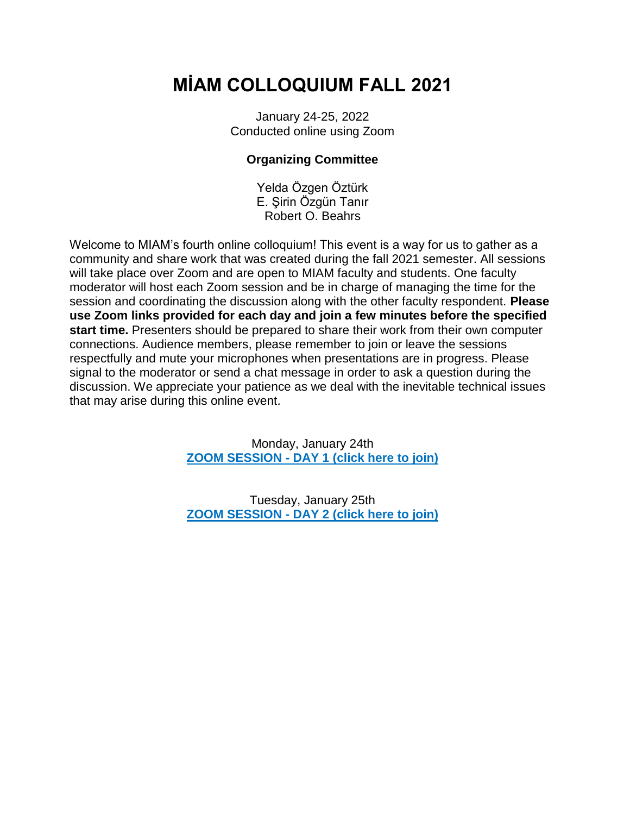# **MİAM COLLOQUIUM FALL 2021**

January 24-25, 2022 Conducted online using Zoom

# **Organizing Committee**

Yelda Özgen Öztürk E. Şirin Özgün Tanır Robert O. Beahrs

Welcome to MIAM's fourth online colloquium! This event is a way for us to gather as a community and share work that was created during the fall 2021 semester. All sessions will take place over Zoom and are open to MIAM faculty and students. One faculty moderator will host each Zoom session and be in charge of managing the time for the session and coordinating the discussion along with the other faculty respondent. **Please use Zoom links provided for each day and join a few minutes before the specified start time.** Presenters should be prepared to share their work from their own computer connections. Audience members, please remember to join or leave the sessions respectfully and mute your microphones when presentations are in progress. Please signal to the moderator or send a chat message in order to ask a question during the discussion. We appreciate your patience as we deal with the inevitable technical issues that may arise during this online event.

> Monday, January 24th **ZOOM SESSION - [DAY 1 \(click here to join\)](https://itu-edu-tr.zoom.us/j/97506577471?pwd=RGYvUFFEK0haZWdCMnc4c1lObkxZUT09)**

> Tuesday, January 25th **ZOOM SESSION - [DAY 2 \(click here to join\)](https://itu-edu-tr.zoom.us/j/93091187876?pwd=UTFiUTZmMFYxRE80Wmx5MGpPeDhyZz09)**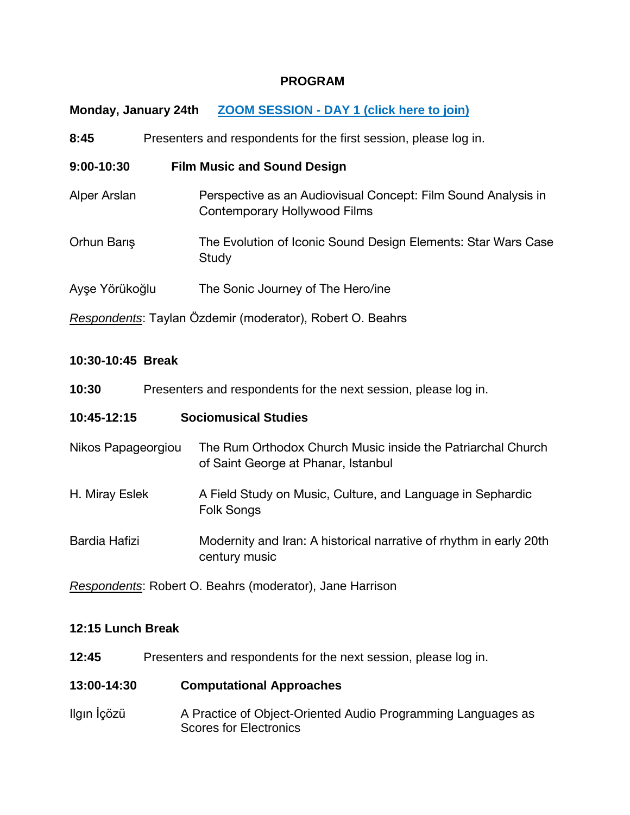## **PROGRAM**

**Monday, January 24th ZOOM SESSION - [DAY 1 \(click here to join\)](https://itu-edu-tr.zoom.us/j/97506577471?pwd=RGYvUFFEK0haZWdCMnc4c1lObkxZUT09)**

| 8:45           | Presenters and respondents for the first session, please log in.                              |
|----------------|-----------------------------------------------------------------------------------------------|
| 9:00-10:30     | <b>Film Music and Sound Design</b>                                                            |
| Alper Arslan   | Perspective as an Audiovisual Concept: Film Sound Analysis in<br>Contemporary Hollywood Films |
| Orhun Barış    | The Evolution of Iconic Sound Design Elements: Star Wars Case<br>Study                        |
| Ayşe Yörükoğlu | The Sonic Journey of The Hero/ine                                                             |
|                | Respondents: Taylan Özdemir (moderator), Robert O. Beahrs                                     |

## **10:30-10:45 Break**

| 10:30              | Presenters and respondents for the next session, please log in.                                    |
|--------------------|----------------------------------------------------------------------------------------------------|
| 10:45-12:15        | <b>Sociomusical Studies</b>                                                                        |
| Nikos Papageorgiou | The Rum Orthodox Church Music inside the Patriarchal Church<br>of Saint George at Phanar, Istanbul |
| H. Miray Eslek     | A Field Study on Music, Culture, and Language in Sephardic<br>Folk Songs                           |
| Bardia Hafizi      | Modernity and Iran: A historical narrative of rhythm in early 20th<br>century music                |

*Respondents*: Robert O. Beahrs (moderator), Jane Harrison

# **12:15 Lunch Break**

**12:45** Presenters and respondents for the next session, please log in.

## **13:00-14:30 Computational Approaches**

Ilgın İçözü A Practice of Object-Oriented Audio Programming Languages as Scores for Electronics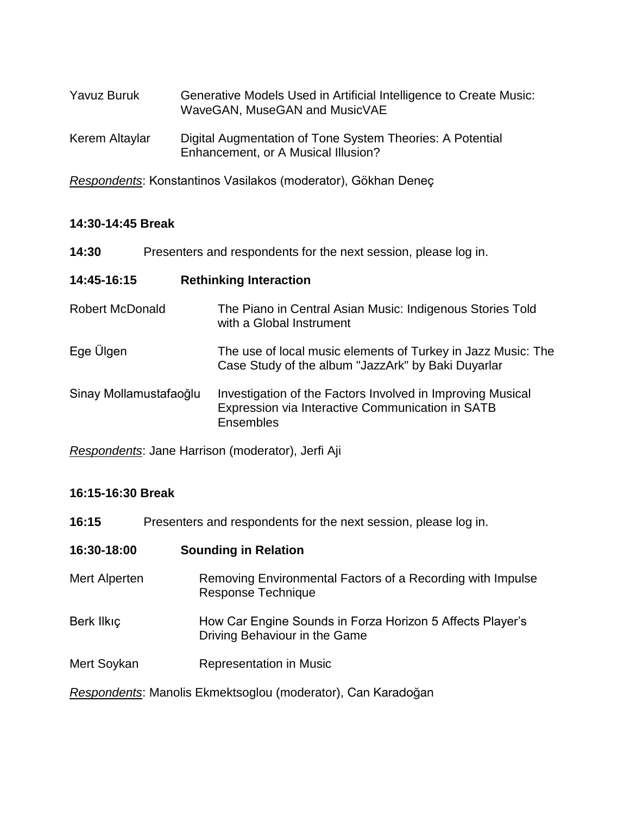| Yavuz Buruk    | Generative Models Used in Artificial Intelligence to Create Music:<br>WaveGAN, MuseGAN and MusicVAE |
|----------------|-----------------------------------------------------------------------------------------------------|
| Kerem Altaylar | Digital Augmentation of Tone System Theories: A Potential<br>Enhancement, or A Musical Illusion?    |

*Respondents*: Konstantinos Vasilakos (moderator), Gökhan Deneç

# **14:30-14:45 Break**

| 14:30                  | Presenters and respondents for the next session, please log in.                                                                    |  |  |
|------------------------|------------------------------------------------------------------------------------------------------------------------------------|--|--|
| 14:45-16:15            | <b>Rethinking Interaction</b>                                                                                                      |  |  |
| <b>Robert McDonald</b> | The Piano in Central Asian Music: Indigenous Stories Told<br>with a Global Instrument                                              |  |  |
| Ege Ülgen              | The use of local music elements of Turkey in Jazz Music: The<br>Case Study of the album "JazzArk" by Baki Duyarlar                 |  |  |
| Sinay Mollamustafaoğlu | Investigation of the Factors Involved in Improving Musical<br>Expression via Interactive Communication in SATB<br><b>Ensembles</b> |  |  |

*Respondents*: Jane Harrison (moderator), Jerfi Aji

# **16:15-16:30 Break**

| 16:15         | Presenters and respondents for the next session, please log in.                            |  |  |
|---------------|--------------------------------------------------------------------------------------------|--|--|
| 16:30-18:00   | <b>Sounding in Relation</b>                                                                |  |  |
| Mert Alperten | Removing Environmental Factors of a Recording with Impulse<br>Response Technique           |  |  |
| Berk Ilkıç    | How Car Engine Sounds in Forza Horizon 5 Affects Player's<br>Driving Behaviour in the Game |  |  |
| Mert Soykan   | <b>Representation in Music</b>                                                             |  |  |
|               | Respondents: Manolis Ekmektsoglou (moderator), Can Karadoğan                               |  |  |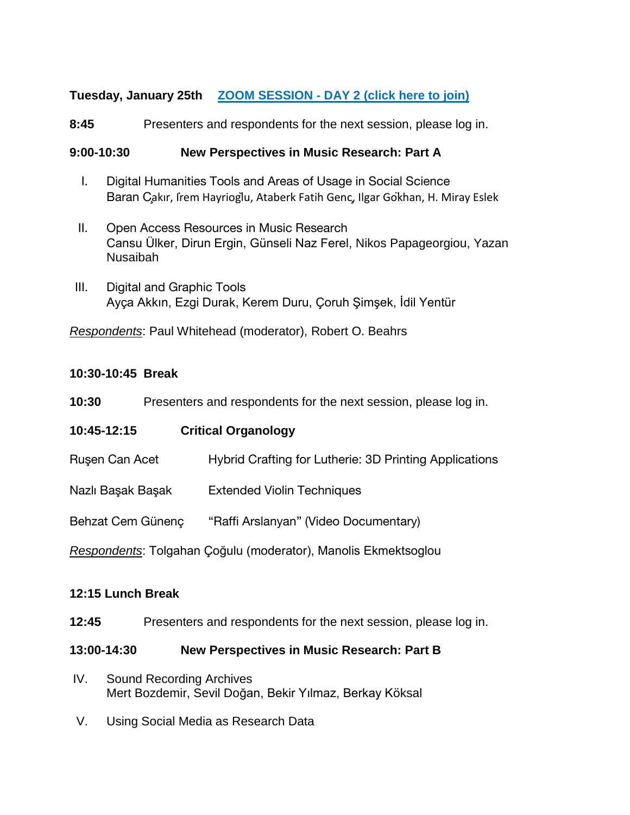# **Tuesday, January 25th ZOOM SESSION - [DAY 2 \(click here to join\)](https://itu-edu-tr.zoom.us/j/93091187876?pwd=UTFiUTZmMFYxRE80Wmx5MGpPeDhyZz09)**

**8:45** Presenters and respondents for the next session, please log in.

## **9:00-10:30 New Perspectives in Music Research: Part A**

- I. Digital Humanities Tools and Areas of Usage in Social Science Baran Çakır, İrem Hayrioğlu, Ataberk Fatih Genç, Ilgar Gökhan, H. Miray Eslek
- II. Open Access Resources in Music Research Cansu Ülker, Dirun Ergin, Günseli Naz Ferel, Nikos Papageorgiou, Yazan Nusaibah
- III. Digital and Graphic Tools Ayça Akkın, Ezgi Durak, Kerem Duru, Çoruh Şimşek, İdil Yentür

*Respondents*: Paul Whitehead (moderator), Robert O. Beahrs

## **10:30-10:45 Break**

| 10:30 | Presenters and respondents for the next session, please log in. |  |  |
|-------|-----------------------------------------------------------------|--|--|
|       |                                                                 |  |  |

| 10:45-12:15                                                    |  | <b>Critical Organology</b>                             |
|----------------------------------------------------------------|--|--------------------------------------------------------|
| Ruşen Can Acet                                                 |  | Hybrid Crafting for Lutherie: 3D Printing Applications |
| Nazlı Başak Başak                                              |  | <b>Extended Violin Techniques</b>                      |
| Behzat Cem Günenç                                              |  | "Raffi Arslanyan" (Video Documentary)                  |
| Respondents: Tolgahan Çoğulu (moderator), Manolis Ekmektsoglou |  |                                                        |

## **12:15 Lunch Break**

**12:45** Presenters and respondents for the next session, please log in.

## **13:00-14:30 New Perspectives in Music Research: Part B**

- IV. Sound Recording Archives Mert Bozdemir, Sevil Doğan, Bekir Yılmaz, Berkay Köksal
- V. Using Social Media as Research Data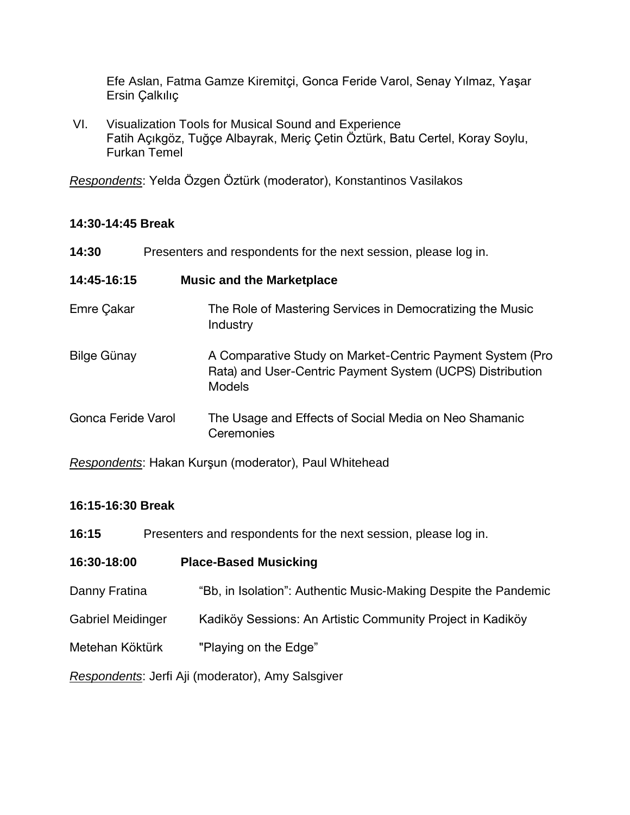Efe Aslan, Fatma Gamze Kiremitçi, Gonca Feride Varol, Senay Yılmaz, Yaşar Ersin Çalkılıç

VI. Visualization Tools for Musical Sound and Experience Fatih Açıkgöz, Tuğçe Albayrak, Meriç Çetin Öztürk, Batu Certel, Koray Soylu, Furkan Temel

*Respondents*: Yelda Özgen Öztürk (moderator), Konstantinos Vasilakos

## **14:30-14:45 Break**

| 14:30              | Presenters and respondents for the next session, please log in.                                                                         |
|--------------------|-----------------------------------------------------------------------------------------------------------------------------------------|
| 14:45-16:15        | <b>Music and the Marketplace</b>                                                                                                        |
| Emre Çakar         | The Role of Mastering Services in Democratizing the Music<br>Industry                                                                   |
| <b>Bilge Günay</b> | A Comparative Study on Market-Centric Payment System (Pro<br>Rata) and User-Centric Payment System (UCPS) Distribution<br><b>Models</b> |
| Gonca Feride Varol | The Usage and Effects of Social Media on Neo Shamanic<br>Ceremonies                                                                     |

*Respondents*: Hakan Kurşun (moderator), Paul Whitehead

# **16:15-16:30 Break**

| 16:15 |  | Presenters and respondents for the next session, please log in. |
|-------|--|-----------------------------------------------------------------|
|-------|--|-----------------------------------------------------------------|

| 16:30-18:00                                       | <b>Place-Based Musicking</b>                                    |  |
|---------------------------------------------------|-----------------------------------------------------------------|--|
| Danny Fratina                                     | "Bb, in Isolation": Authentic Music-Making Despite the Pandemic |  |
| Gabriel Meidinger                                 | Kadiköy Sessions: An Artistic Community Project in Kadiköy      |  |
| Metehan Köktürk                                   | "Playing on the Edge"                                           |  |
| Respondents: Jerfi Aji (moderator), Amy Salsgiver |                                                                 |  |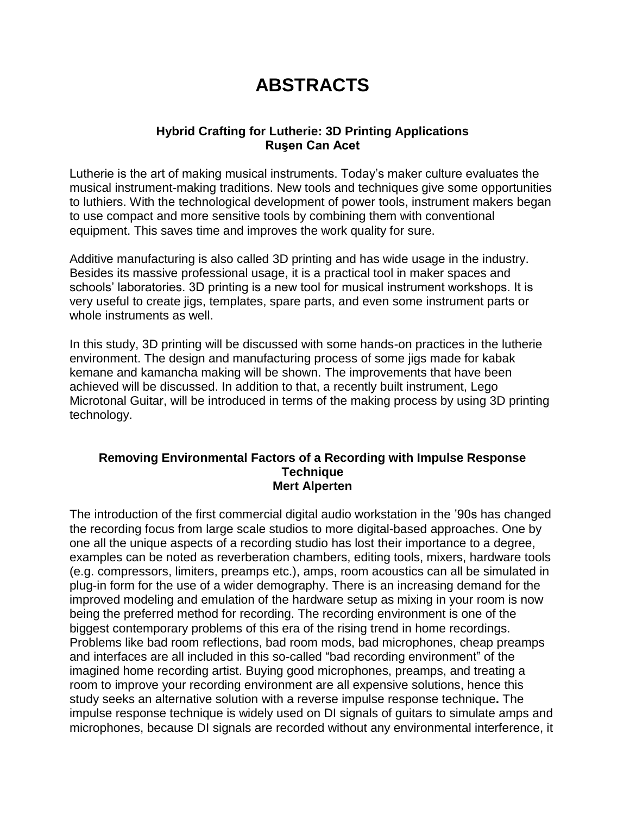# **ABSTRACTS**

## **Hybrid Crafting for Lutherie: 3D Printing Applications Ruşen Can Acet**

Lutherie is the art of making musical instruments. Today's maker culture evaluates the musical instrument-making traditions. New tools and techniques give some opportunities to luthiers. With the technological development of power tools, instrument makers began to use compact and more sensitive tools by combining them with conventional equipment. This saves time and improves the work quality for sure.

Additive manufacturing is also called 3D printing and has wide usage in the industry. Besides its massive professional usage, it is a practical tool in maker spaces and schools' laboratories. 3D printing is a new tool for musical instrument workshops. It is very useful to create jigs, templates, spare parts, and even some instrument parts or whole instruments as well.

In this study, 3D printing will be discussed with some hands-on practices in the lutherie environment. The design and manufacturing process of some jigs made for kabak kemane and kamancha making will be shown. The improvements that have been achieved will be discussed. In addition to that, a recently built instrument, Lego Microtonal Guitar, will be introduced in terms of the making process by using 3D printing technology.

#### **Removing Environmental Factors of a Recording with Impulse Response Technique Mert Alperten**

The introduction of the first commercial digital audio workstation in the '90s has changed the recording focus from large scale studios to more digital-based approaches. One by one all the unique aspects of a recording studio has lost their importance to a degree, examples can be noted as reverberation chambers, editing tools, mixers, hardware tools (e.g. compressors, limiters, preamps etc.), amps, room acoustics can all be simulated in plug-in form for the use of a wider demography. There is an increasing demand for the improved modeling and emulation of the hardware setup as mixing in your room is now being the preferred method for recording. The recording environment is one of the biggest contemporary problems of this era of the rising trend in home recordings. Problems like bad room reflections, bad room mods, bad microphones, cheap preamps and interfaces are all included in this so-called "bad recording environment" of the imagined home recording artist. Buying good microphones, preamps, and treating a room to improve your recording environment are all expensive solutions, hence this study seeks an alternative solution with a reverse impulse response technique**.** The impulse response technique is widely used on DI signals of guitars to simulate amps and microphones, because DI signals are recorded without any environmental interference, it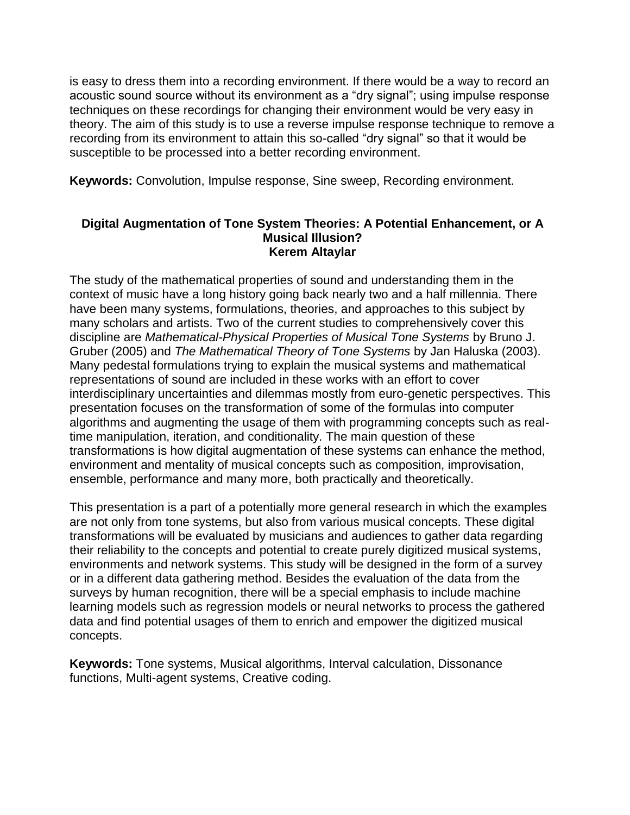is easy to dress them into a recording environment. If there would be a way to record an acoustic sound source without its environment as a "dry signal"; using impulse response techniques on these recordings for changing their environment would be very easy in theory. The aim of this study is to use a reverse impulse response technique to remove a recording from its environment to attain this so-called "dry signal" so that it would be susceptible to be processed into a better recording environment.

**Keywords:** Convolution, Impulse response, Sine sweep, Recording environment.

### **Digital Augmentation of Tone System Theories: A Potential Enhancement, or A Musical Illusion? Kerem Altaylar**

The study of the mathematical properties of sound and understanding them in the context of music have a long history going back nearly two and a half millennia. There have been many systems, formulations, theories, and approaches to this subject by many scholars and artists. Two of the current studies to comprehensively cover this discipline are *Mathematical-Physical Properties of Musical Tone Systems* by Bruno J. Gruber (2005) and *The Mathematical Theory of Tone Systems* by Jan Haluska (2003). Many pedestal formulations trying to explain the musical systems and mathematical representations of sound are included in these works with an effort to cover interdisciplinary uncertainties and dilemmas mostly from euro-genetic perspectives. This presentation focuses on the transformation of some of the formulas into computer algorithms and augmenting the usage of them with programming concepts such as realtime manipulation, iteration, and conditionality. The main question of these transformations is how digital augmentation of these systems can enhance the method, environment and mentality of musical concepts such as composition, improvisation, ensemble, performance and many more, both practically and theoretically.

This presentation is a part of a potentially more general research in which the examples are not only from tone systems, but also from various musical concepts. These digital transformations will be evaluated by musicians and audiences to gather data regarding their reliability to the concepts and potential to create purely digitized musical systems, environments and network systems. This study will be designed in the form of a survey or in a different data gathering method. Besides the evaluation of the data from the surveys by human recognition, there will be a special emphasis to include machine learning models such as regression models or neural networks to process the gathered data and find potential usages of them to enrich and empower the digitized musical concepts.

**Keywords:** Tone systems, Musical algorithms, Interval calculation, Dissonance functions, Multi-agent systems, Creative coding.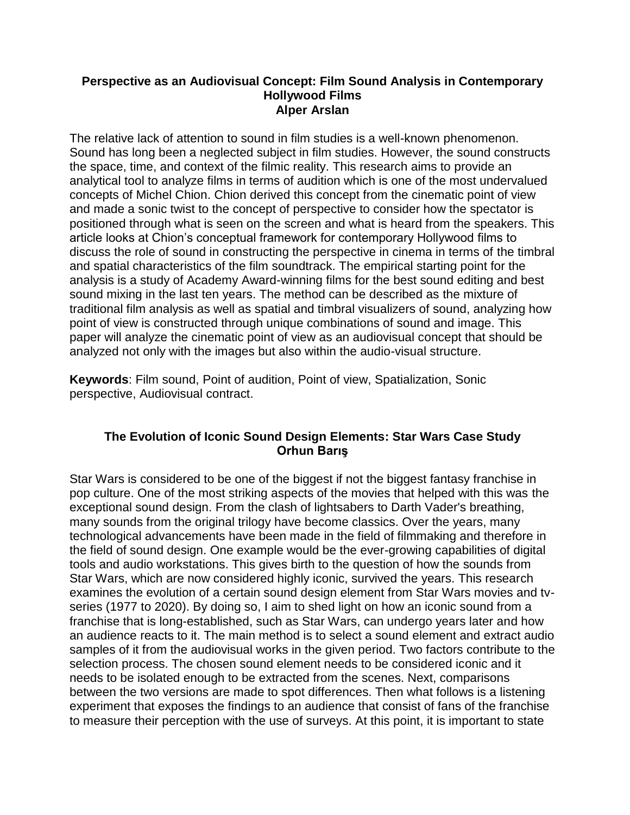#### **Perspective as an Audiovisual Concept: Film Sound Analysis in Contemporary Hollywood Films Alper Arslan**

The relative lack of attention to sound in film studies is a well-known phenomenon. Sound has long been a neglected subject in film studies. However, the sound constructs the space, time, and context of the filmic reality. This research aims to provide an analytical tool to analyze films in terms of audition which is one of the most undervalued concepts of Michel Chion. Chion derived this concept from the cinematic point of view and made a sonic twist to the concept of perspective to consider how the spectator is positioned through what is seen on the screen and what is heard from the speakers. This article looks at Chion's conceptual framework for contemporary Hollywood films to discuss the role of sound in constructing the perspective in cinema in terms of the timbral and spatial characteristics of the film soundtrack. The empirical starting point for the analysis is a study of Academy Award-winning films for the best sound editing and best sound mixing in the last ten years. The method can be described as the mixture of traditional film analysis as well as spatial and timbral visualizers of sound, analyzing how point of view is constructed through unique combinations of sound and image. This paper will analyze the cinematic point of view as an audiovisual concept that should be analyzed not only with the images but also within the audio-visual structure.

**Keywords**: Film sound, Point of audition, Point of view, Spatialization, Sonic perspective, Audiovisual contract.

# **The Evolution of Iconic Sound Design Elements: Star Wars Case Study Orhun Barış**

Star Wars is considered to be one of the biggest if not the biggest fantasy franchise in pop culture. One of the most striking aspects of the movies that helped with this was the exceptional sound design. From the clash of lightsabers to Darth Vader's breathing, many sounds from the original trilogy have become classics. Over the years, many technological advancements have been made in the field of filmmaking and therefore in the field of sound design. One example would be the ever-growing capabilities of digital tools and audio workstations. This gives birth to the question of how the sounds from Star Wars, which are now considered highly iconic, survived the years. This research examines the evolution of a certain sound design element from Star Wars movies and tvseries (1977 to 2020). By doing so, I aim to shed light on how an iconic sound from a franchise that is long-established, such as Star Wars, can undergo years later and how an audience reacts to it. The main method is to select a sound element and extract audio samples of it from the audiovisual works in the given period. Two factors contribute to the selection process. The chosen sound element needs to be considered iconic and it needs to be isolated enough to be extracted from the scenes. Next, comparisons between the two versions are made to spot differences. Then what follows is a listening experiment that exposes the findings to an audience that consist of fans of the franchise to measure their perception with the use of surveys. At this point, it is important to state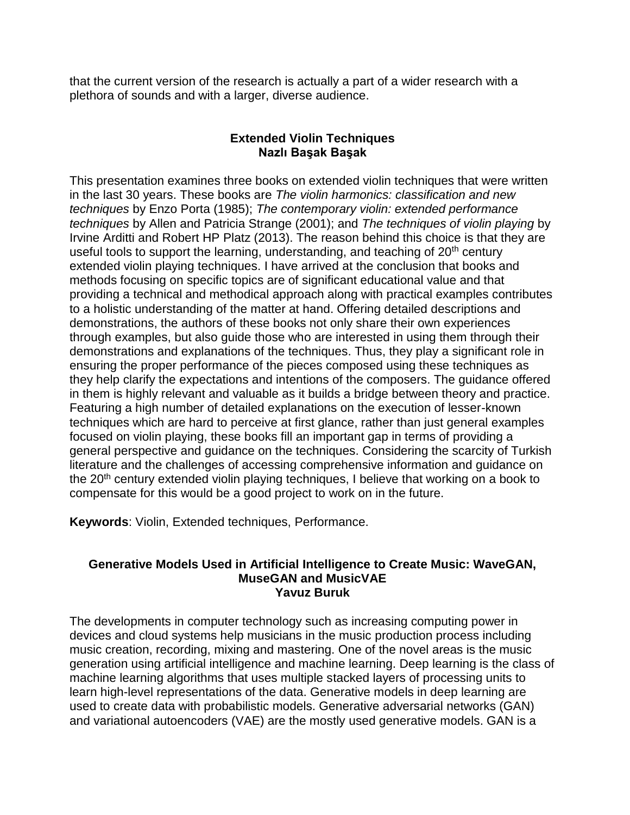that the current version of the research is actually a part of a wider research with a plethora of sounds and with a larger, diverse audience.

## **Extended Violin Techniques Nazlı Başak Başak**

This presentation examines three books on extended violin techniques that were written in the last 30 years. These books are *The violin harmonics: classification and new techniques* by Enzo Porta (1985); *The contemporary violin: extended performance techniques* by Allen and Patricia Strange (2001); and *The techniques of violin playing* by Irvine Arditti and Robert HP Platz (2013). The reason behind this choice is that they are useful tools to support the learning, understanding, and teaching of  $20<sup>th</sup>$  century extended violin playing techniques. I have arrived at the conclusion that books and methods focusing on specific topics are of significant educational value and that providing a technical and methodical approach along with practical examples contributes to a holistic understanding of the matter at hand. Offering detailed descriptions and demonstrations, the authors of these books not only share their own experiences through examples, but also guide those who are interested in using them through their demonstrations and explanations of the techniques. Thus, they play a significant role in ensuring the proper performance of the pieces composed using these techniques as they help clarify the expectations and intentions of the composers. The guidance offered in them is highly relevant and valuable as it builds a bridge between theory and practice. Featuring a high number of detailed explanations on the execution of lesser-known techniques which are hard to perceive at first glance, rather than just general examples focused on violin playing, these books fill an important gap in terms of providing a general perspective and guidance on the techniques. Considering the scarcity of Turkish literature and the challenges of accessing comprehensive information and guidance on the 20<sup>th</sup> century extended violin playing techniques, I believe that working on a book to compensate for this would be a good project to work on in the future.

**Keywords**: Violin, Extended techniques, Performance.

### **Generative Models Used in Artificial Intelligence to Create Music: WaveGAN, MuseGAN and MusicVAE Yavuz Buruk**

The developments in computer technology such as increasing computing power in devices and cloud systems help musicians in the music production process including music creation, recording, mixing and mastering. One of the novel areas is the music generation using artificial intelligence and machine learning. Deep learning is the class of machine learning algorithms that uses multiple stacked layers of processing units to learn high-level representations of the data. Generative models in deep learning are used to create data with probabilistic models. Generative adversarial networks (GAN) and variational autoencoders (VAE) are the mostly used generative models. GAN is a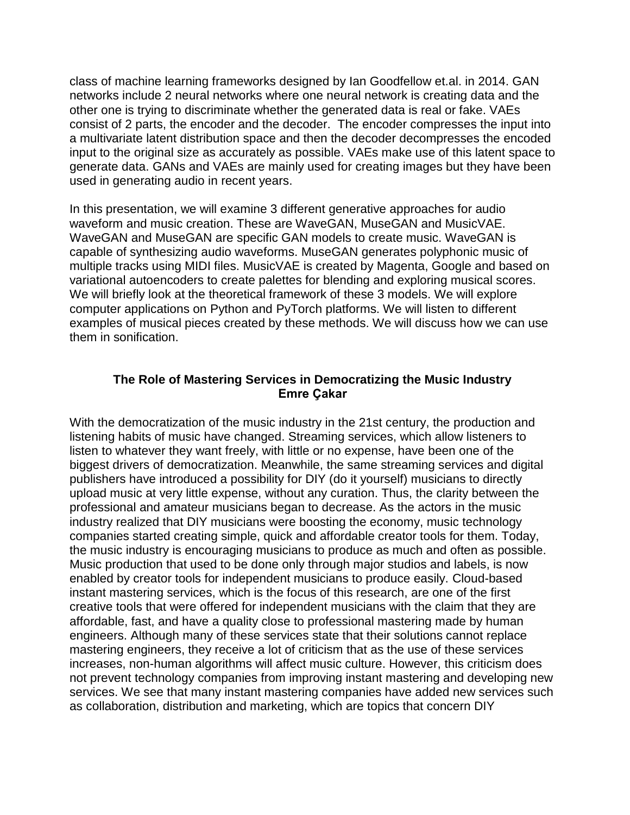class of machine learning frameworks designed by Ian Goodfellow et.al. in 2014. GAN networks include 2 neural networks where one neural network is creating data and the other one is trying to discriminate whether the generated data is real or fake. VAEs consist of 2 parts, the encoder and the decoder. The encoder compresses the input into a multivariate latent distribution space and then the decoder decompresses the encoded input to the original size as accurately as possible. VAEs make use of this latent space to generate data. GANs and VAEs are mainly used for creating images but they have been used in generating audio in recent years.

In this presentation, we will examine 3 different generative approaches for audio waveform and music creation. These are WaveGAN, MuseGAN and MusicVAE. WaveGAN and MuseGAN are specific GAN models to create music. WaveGAN is capable of synthesizing audio waveforms. MuseGAN generates polyphonic music of multiple tracks using MIDI files. MusicVAE is created by Magenta, Google and based on variational autoencoders to create palettes for blending and exploring musical scores. We will briefly look at the theoretical framework of these 3 models. We will explore computer applications on Python and PyTorch platforms. We will listen to different examples of musical pieces created by these methods. We will discuss how we can use them in sonification.

## **The Role of Mastering Services in Democratizing the Music Industry Emre Çakar**

With the democratization of the music industry in the 21st century, the production and listening habits of music have changed. Streaming services, which allow listeners to listen to whatever they want freely, with little or no expense, have been one of the biggest drivers of democratization. Meanwhile, the same streaming services and digital publishers have introduced a possibility for DIY (do it yourself) musicians to directly upload music at very little expense, without any curation. Thus, the clarity between the professional and amateur musicians began to decrease. As the actors in the music industry realized that DIY musicians were boosting the economy, music technology companies started creating simple, quick and affordable creator tools for them. Today, the music industry is encouraging musicians to produce as much and often as possible. Music production that used to be done only through major studios and labels, is now enabled by creator tools for independent musicians to produce easily. Cloud-based instant mastering services, which is the focus of this research, are one of the first creative tools that were offered for independent musicians with the claim that they are affordable, fast, and have a quality close to professional mastering made by human engineers. Although many of these services state that their solutions cannot replace mastering engineers, they receive a lot of criticism that as the use of these services increases, non-human algorithms will affect music culture. However, this criticism does not prevent technology companies from improving instant mastering and developing new services. We see that many instant mastering companies have added new services such as collaboration, distribution and marketing, which are topics that concern DIY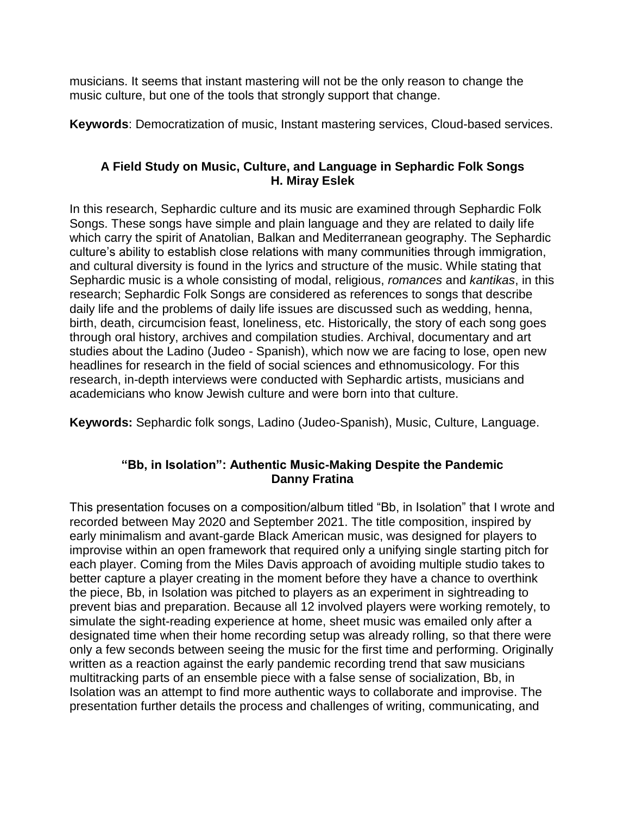musicians. It seems that instant mastering will not be the only reason to change the music culture, but one of the tools that strongly support that change.

**Keywords**: Democratization of music, Instant mastering services, Cloud-based services.

# **A Field Study on Music, Culture, and Language in Sephardic Folk Songs H. Miray Eslek**

In this research, Sephardic culture and its music are examined through Sephardic Folk Songs. These songs have simple and plain language and they are related to daily life which carry the spirit of Anatolian, Balkan and Mediterranean geography. The Sephardic culture's ability to establish close relations with many communities through immigration, and cultural diversity is found in the lyrics and structure of the music. While stating that Sephardic music is a whole consisting of modal, religious, *romances* and *kantikas*, in this research; Sephardic Folk Songs are considered as references to songs that describe daily life and the problems of daily life issues are discussed such as wedding, henna, birth, death, circumcision feast, loneliness, etc. Historically, the story of each song goes through oral history, archives and compilation studies. Archival, documentary and art studies about the Ladino (Judeo - Spanish), which now we are facing to lose, open new headlines for research in the field of social sciences and ethnomusicology. For this research, in-depth interviews were conducted with Sephardic artists, musicians and academicians who know Jewish culture and were born into that culture.

**Keywords:** Sephardic folk songs, Ladino (Judeo-Spanish), Music, Culture, Language.

# **"Bb, in Isolation": Authentic Music-Making Despite the Pandemic Danny Fratina**

This presentation focuses on a composition/album titled "Bb, in Isolation" that I wrote and recorded between May 2020 and September 2021. The title composition, inspired by early minimalism and avant-garde Black American music, was designed for players to improvise within an open framework that required only a unifying single starting pitch for each player. Coming from the Miles Davis approach of avoiding multiple studio takes to better capture a player creating in the moment before they have a chance to overthink the piece, Bb, in Isolation was pitched to players as an experiment in sightreading to prevent bias and preparation. Because all 12 involved players were working remotely, to simulate the sight-reading experience at home, sheet music was emailed only after a designated time when their home recording setup was already rolling, so that there were only a few seconds between seeing the music for the first time and performing. Originally written as a reaction against the early pandemic recording trend that saw musicians multitracking parts of an ensemble piece with a false sense of socialization, Bb, in Isolation was an attempt to find more authentic ways to collaborate and improvise. The presentation further details the process and challenges of writing, communicating, and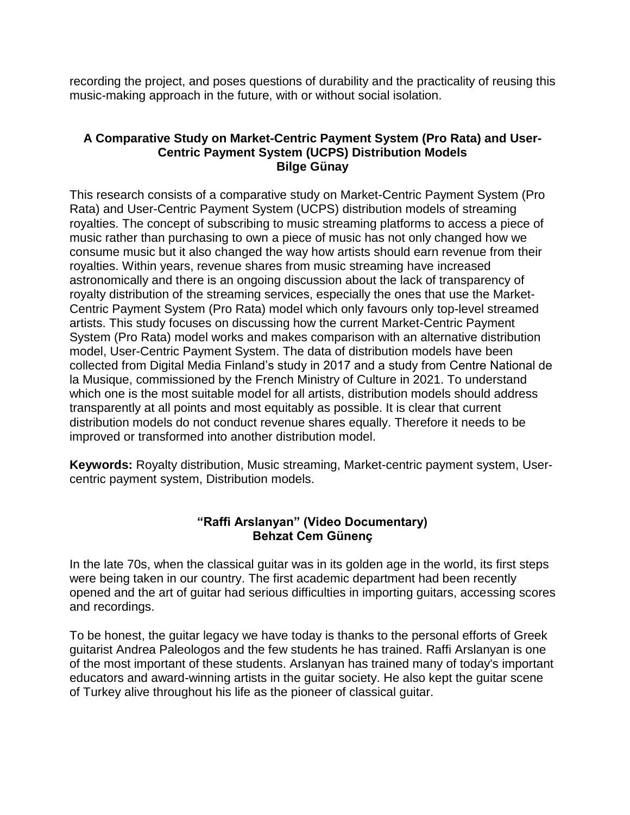recording the project, and poses questions of durability and the practicality of reusing this music-making approach in the future, with or without social isolation.

## **A Comparative Study on Market-Centric Payment System (Pro Rata) and User-Centric Payment System (UCPS) Distribution Models Bilge Günay**

This research consists of a comparative study on Market-Centric Payment System (Pro Rata) and User-Centric Payment System (UCPS) distribution models of streaming royalties. The concept of subscribing to music streaming platforms to access a piece of music rather than purchasing to own a piece of music has not only changed how we consume music but it also changed the way how artists should earn revenue from their royalties. Within years, revenue shares from music streaming have increased astronomically and there is an ongoing discussion about the lack of transparency of royalty distribution of the streaming services, especially the ones that use the Market-Centric Payment System (Pro Rata) model which only favours only top-level streamed artists. This study focuses on discussing how the current Market-Centric Payment System (Pro Rata) model works and makes comparison with an alternative distribution model, User-Centric Payment System. The data of distribution models have been collected from Digital Media Finland's study in 2017 and a study from Centre National de la Musique, commissioned by the French Ministry of Culture in 2021. To understand which one is the most suitable model for all artists, distribution models should address transparently at all points and most equitably as possible. It is clear that current distribution models do not conduct revenue shares equally. Therefore it needs to be improved or transformed into another distribution model.

**Keywords:** Royalty distribution, Music streaming, Market-centric payment system, Usercentric payment system, Distribution models.

## **"Raffi Arslanyan" (Video Documentary) Behzat Cem Günenç**

In the late 70s, when the classical guitar was in its golden age in the world, its first steps were being taken in our country. The first academic department had been recently opened and the art of guitar had serious difficulties in importing guitars, accessing scores and recordings.

To be honest, the guitar legacy we have today is thanks to the personal efforts of Greek guitarist Andrea Paleologos and the few students he has trained. Raffi Arslanyan is one of the most important of these students. Arslanyan has trained many of today's important educators and award-winning artists in the guitar society. He also kept the guitar scene of Turkey alive throughout his life as the pioneer of classical guitar.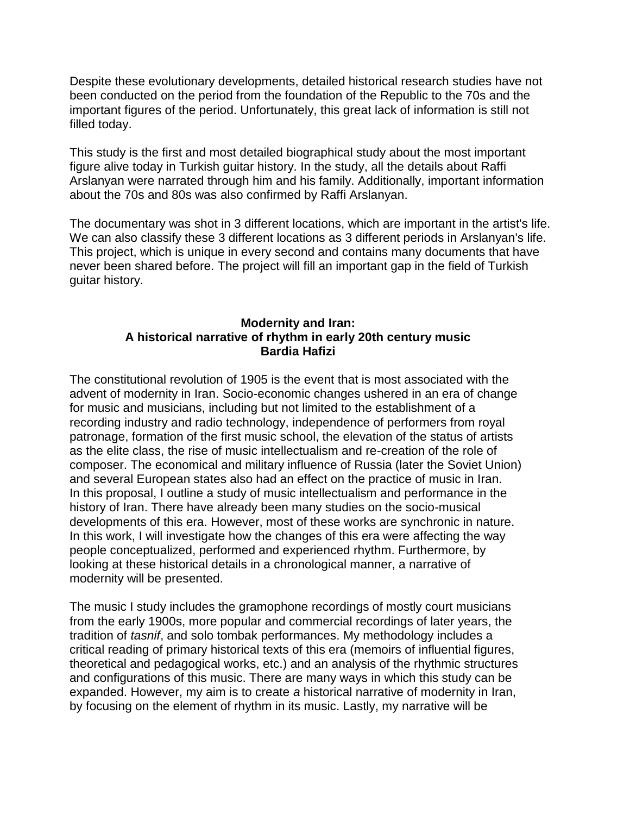Despite these evolutionary developments, detailed historical research studies have not been conducted on the period from the foundation of the Republic to the 70s and the important figures of the period. Unfortunately, this great lack of information is still not filled today.

This study is the first and most detailed biographical study about the most important figure alive today in Turkish guitar history. In the study, all the details about Raffi Arslanyan were narrated through him and his family. Additionally, important information about the 70s and 80s was also confirmed by Raffi Arslanyan.

The documentary was shot in 3 different locations, which are important in the artist's life. We can also classify these 3 different locations as 3 different periods in Arslanyan's life. This project, which is unique in every second and contains many documents that have never been shared before. The project will fill an important gap in the field of Turkish guitar history.

## **Modernity and Iran: A historical narrative of rhythm in early 20th century music Bardia Hafizi**

The constitutional revolution of 1905 is the event that is most associated with the advent of modernity in Iran. Socio-economic changes ushered in an era of change for music and musicians, including but not limited to the establishment of a recording industry and radio technology, independence of performers from royal patronage, formation of the first music school, the elevation of the status of artists as the elite class, the rise of music intellectualism and re-creation of the role of composer. The economical and military influence of Russia (later the Soviet Union) and several European states also had an effect on the practice of music in Iran. In this proposal, I outline a study of music intellectualism and performance in the history of Iran. There have already been many studies on the socio-musical developments of this era. However, most of these works are synchronic in nature. In this work, I will investigate how the changes of this era were affecting the way people conceptualized, performed and experienced rhythm. Furthermore, by looking at these historical details in a chronological manner, a narrative of modernity will be presented.

The music I study includes the gramophone recordings of mostly court musicians from the early 1900s, more popular and commercial recordings of later years, the tradition of *tasnif*, and solo tombak performances. My methodology includes a critical reading of primary historical texts of this era (memoirs of influential figures, theoretical and pedagogical works, etc.) and an analysis of the rhythmic structures and configurations of this music. There are many ways in which this study can be expanded. However, my aim is to create *a* historical narrative of modernity in Iran, by focusing on the element of rhythm in its music. Lastly, my narrative will be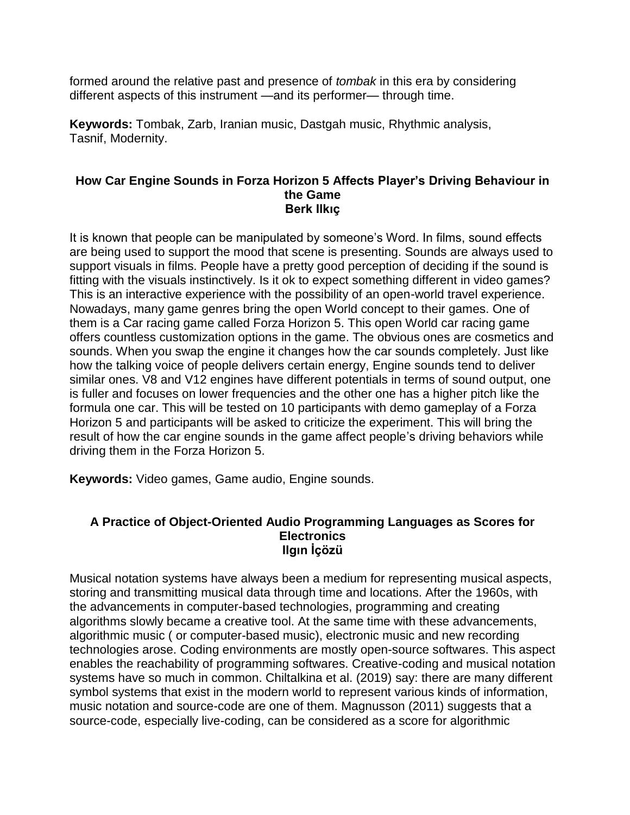formed around the relative past and presence of *tombak* in this era by considering different aspects of this instrument —and its performer— through time.

**Keywords:** Tombak, Zarb, Iranian music, Dastgah music, Rhythmic analysis, Tasnif, Modernity.

#### **How Car Engine Sounds in Forza Horizon 5 Affects Player's Driving Behaviour in the Game Berk Ilkıç**

It is known that people can be manipulated by someone's Word. In films, sound effects are being used to support the mood that scene is presenting. Sounds are always used to support visuals in films. People have a pretty good perception of deciding if the sound is fitting with the visuals instinctively. Is it ok to expect something different in video games? This is an interactive experience with the possibility of an open-world travel experience. Nowadays, many game genres bring the open World concept to their games. One of them is a Car racing game called Forza Horizon 5. This open World car racing game offers countless customization options in the game. The obvious ones are cosmetics and sounds. When you swap the engine it changes how the car sounds completely. Just like how the talking voice of people delivers certain energy, Engine sounds tend to deliver similar ones. V8 and V12 engines have different potentials in terms of sound output, one is fuller and focuses on lower frequencies and the other one has a higher pitch like the formula one car. This will be tested on 10 participants with demo gameplay of a Forza Horizon 5 and participants will be asked to criticize the experiment. This will bring the result of how the car engine sounds in the game affect people's driving behaviors while driving them in the Forza Horizon 5.

**Keywords:** Video games, Game audio, Engine sounds.

#### **A Practice of Object-Oriented Audio Programming Languages as Scores for Electronics Ilgın İçözü**

Musical notation systems have always been a medium for representing musical aspects, storing and transmitting musical data through time and locations. After the 1960s, with the advancements in computer-based technologies, programming and creating algorithms slowly became a creative tool. At the same time with these advancements, algorithmic music ( or computer-based music), electronic music and new recording technologies arose. Coding environments are mostly open-source softwares. This aspect enables the reachability of programming softwares. Creative-coding and musical notation systems have so much in common. Chiltalkina et al. (2019) say: there are many different symbol systems that exist in the modern world to represent various kinds of information, music notation and source-code are one of them. Magnusson (2011) suggests that a source-code, especially live-coding, can be considered as a score for algorithmic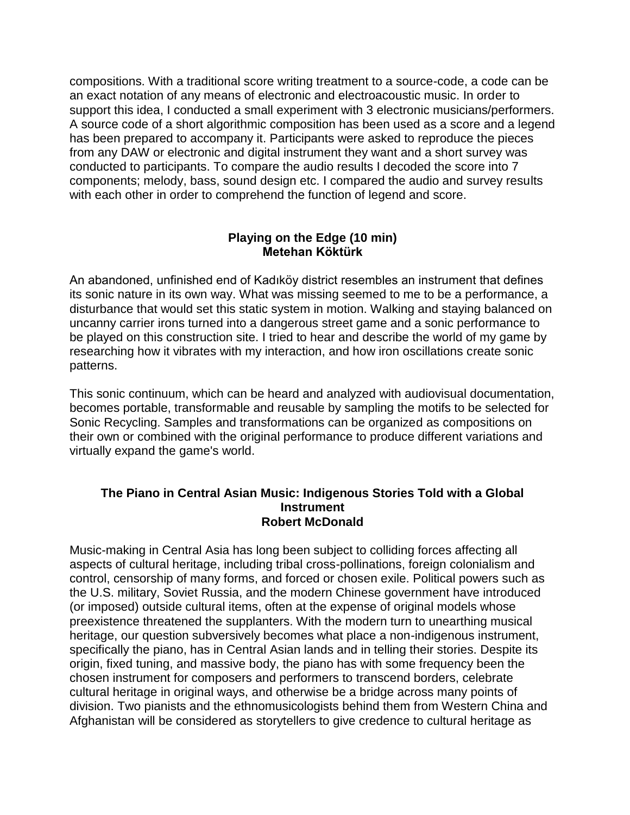compositions. With a traditional score writing treatment to a source-code, a code can be an exact notation of any means of electronic and electroacoustic music. In order to support this idea, I conducted a small experiment with 3 electronic musicians/performers. A source code of a short algorithmic composition has been used as a score and a legend has been prepared to accompany it. Participants were asked to reproduce the pieces from any DAW or electronic and digital instrument they want and a short survey was conducted to participants. To compare the audio results I decoded the score into 7 components; melody, bass, sound design etc. I compared the audio and survey results with each other in order to comprehend the function of legend and score.

## **Playing on the Edge (10 min) Metehan Köktürk**

An abandoned, unfinished end of Kadıköy district resembles an instrument that defines its sonic nature in its own way. What was missing seemed to me to be a performance, a disturbance that would set this static system in motion. Walking and staying balanced on uncanny carrier irons turned into a dangerous street game and a sonic performance to be played on this construction site. I tried to hear and describe the world of my game by researching how it vibrates with my interaction, and how iron oscillations create sonic patterns.

This sonic continuum, which can be heard and analyzed with audiovisual documentation, becomes portable, transformable and reusable by sampling the motifs to be selected for Sonic Recycling. Samples and transformations can be organized as compositions on their own or combined with the original performance to produce different variations and virtually expand the game's world.

#### **The Piano in Central Asian Music: Indigenous Stories Told with a Global Instrument Robert McDonald**

Music-making in Central Asia has long been subject to colliding forces affecting all aspects of cultural heritage, including tribal cross-pollinations, foreign colonialism and control, censorship of many forms, and forced or chosen exile. Political powers such as the U.S. military, Soviet Russia, and the modern Chinese government have introduced (or imposed) outside cultural items, often at the expense of original models whose preexistence threatened the supplanters. With the modern turn to unearthing musical heritage, our question subversively becomes what place a non-indigenous instrument, specifically the piano, has in Central Asian lands and in telling their stories. Despite its origin, fixed tuning, and massive body, the piano has with some frequency been the chosen instrument for composers and performers to transcend borders, celebrate cultural heritage in original ways, and otherwise be a bridge across many points of division. Two pianists and the ethnomusicologists behind them from Western China and Afghanistan will be considered as storytellers to give credence to cultural heritage as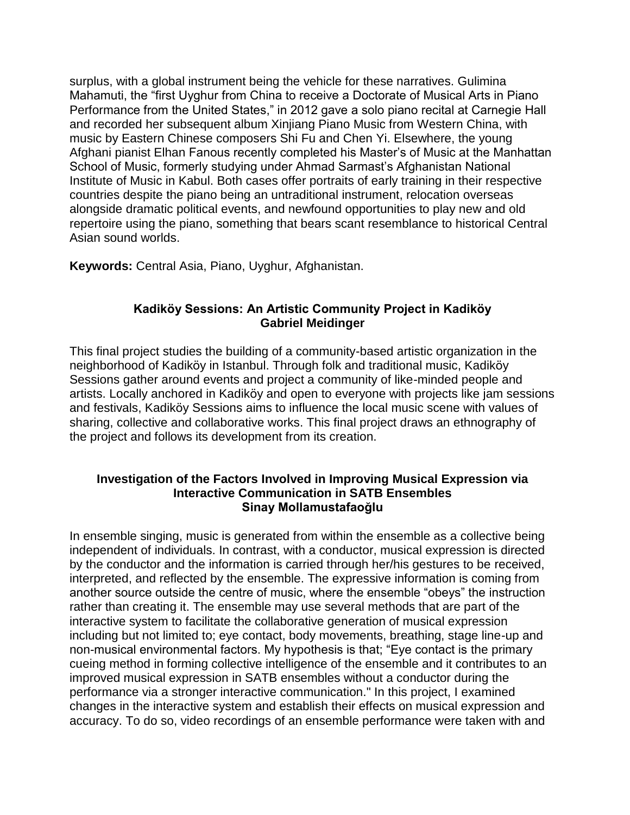surplus, with a global instrument being the vehicle for these narratives. Gulimina Mahamuti, the "first Uyghur from China to receive a Doctorate of Musical Arts in Piano Performance from the United States," in 2012 gave a solo piano recital at Carnegie Hall and recorded her subsequent album Xinjiang Piano Music from Western China, with music by Eastern Chinese composers Shi Fu and Chen Yi. Elsewhere, the young Afghani pianist Elhan Fanous recently completed his Master's of Music at the Manhattan School of Music, formerly studying under Ahmad Sarmast's Afghanistan National Institute of Music in Kabul. Both cases offer portraits of early training in their respective countries despite the piano being an untraditional instrument, relocation overseas alongside dramatic political events, and newfound opportunities to play new and old repertoire using the piano, something that bears scant resemblance to historical Central Asian sound worlds.

**Keywords:** Central Asia, Piano, Uyghur, Afghanistan.

## **Kadiköy Sessions: An Artistic Community Project in Kadiköy Gabriel Meidinger**

This final project studies the building of a community-based artistic organization in the neighborhood of Kadiköy in Istanbul. Through folk and traditional music, Kadiköy Sessions gather around events and project a community of like-minded people and artists. Locally anchored in Kadiköy and open to everyone with projects like jam sessions and festivals, Kadiköy Sessions aims to influence the local music scene with values of sharing, collective and collaborative works. This final project draws an ethnography of the project and follows its development from its creation.

## **Investigation of the Factors Involved in Improving Musical Expression via Interactive Communication in SATB Ensembles Sinay Mollamustafaoğlu**

In ensemble singing, music is generated from within the ensemble as a collective being independent of individuals. In contrast, with a conductor, musical expression is directed by the conductor and the information is carried through her/his gestures to be received, interpreted, and reflected by the ensemble. The expressive information is coming from another source outside the centre of music, where the ensemble "obeys" the instruction rather than creating it. The ensemble may use several methods that are part of the interactive system to facilitate the collaborative generation of musical expression including but not limited to; eye contact, body movements, breathing, stage line-up and non-musical environmental factors. My hypothesis is that; "Eye contact is the primary cueing method in forming collective intelligence of the ensemble and it contributes to an improved musical expression in SATB ensembles without a conductor during the performance via a stronger interactive communication." In this project, I examined changes in the interactive system and establish their effects on musical expression and accuracy. To do so, video recordings of an ensemble performance were taken with and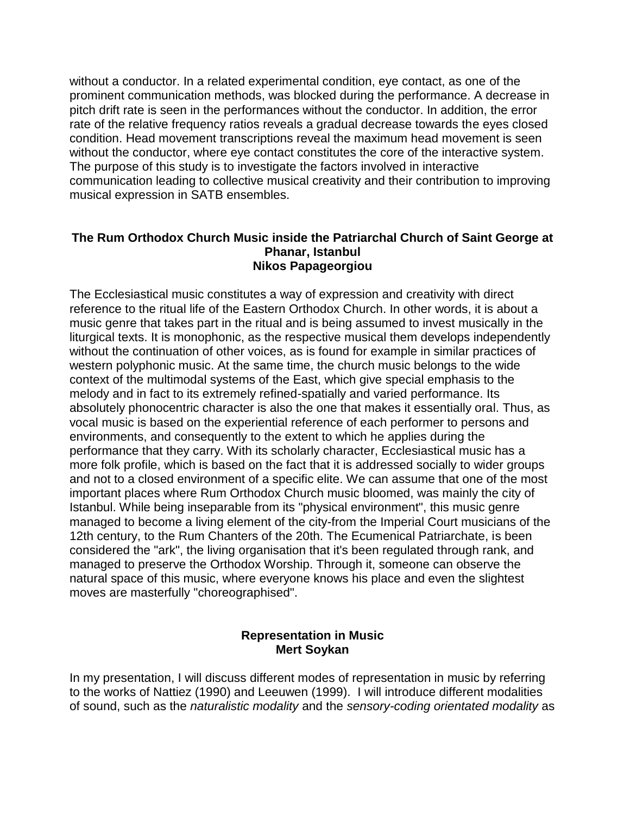without a conductor. In a related experimental condition, eye contact, as one of the prominent communication methods, was blocked during the performance. A decrease in pitch drift rate is seen in the performances without the conductor. In addition, the error rate of the relative frequency ratios reveals a gradual decrease towards the eyes closed condition. Head movement transcriptions reveal the maximum head movement is seen without the conductor, where eye contact constitutes the core of the interactive system. The purpose of this study is to investigate the factors involved in interactive communication leading to collective musical creativity and their contribution to improving musical expression in SATB ensembles.

### **The Rum Orthodox Church Music inside the Patriarchal Church of Saint George at Phanar, Istanbul Nikos Papageorgiou**

The Ecclesiastical music constitutes a way of expression and creativity with direct reference to the ritual life of the Eastern Orthodox Church. In other words, it is about a music genre that takes part in the ritual and is being assumed to invest musically in the liturgical texts. It is monophonic, as the respective musical them develops independently without the continuation of other voices, as is found for example in similar practices of western polyphonic music. At the same time, the church music belongs to the wide context of the multimodal systems of the East, which give special emphasis to the melody and in fact to its extremely refined-spatially and varied performance. Its absolutely phonocentric character is also the one that makes it essentially oral. Thus, as vocal music is based on the experiential reference of each performer to persons and environments, and consequently to the extent to which he applies during the performance that they carry. With its scholarly character, Ecclesiastical music has a more folk profile, which is based on the fact that it is addressed socially to wider groups and not to a closed environment of a specific elite. We can assume that one of the most important places where Rum Orthodox Church music bloomed, was mainly the city of Istanbul. While being inseparable from its "physical environment", this music genre managed to become a living element of the city-from the Imperial Court musicians of the 12th century, to the Rum Chanters of the 20th. The Ecumenical Patriarchate, is been considered the "ark", the living organisation that it's been regulated through rank, and managed to preserve the Orthodox Worship. Through it, someone can observe the natural space of this music, where everyone knows his place and even the slightest moves are masterfully "choreographised".

## **Representation in Music Mert Soykan**

In my presentation, I will discuss different modes of representation in music by referring to the works of Nattiez (1990) and Leeuwen (1999). I will introduce different modalities of sound, such as the *naturalistic modality* and the *sensory-coding orientated modality* as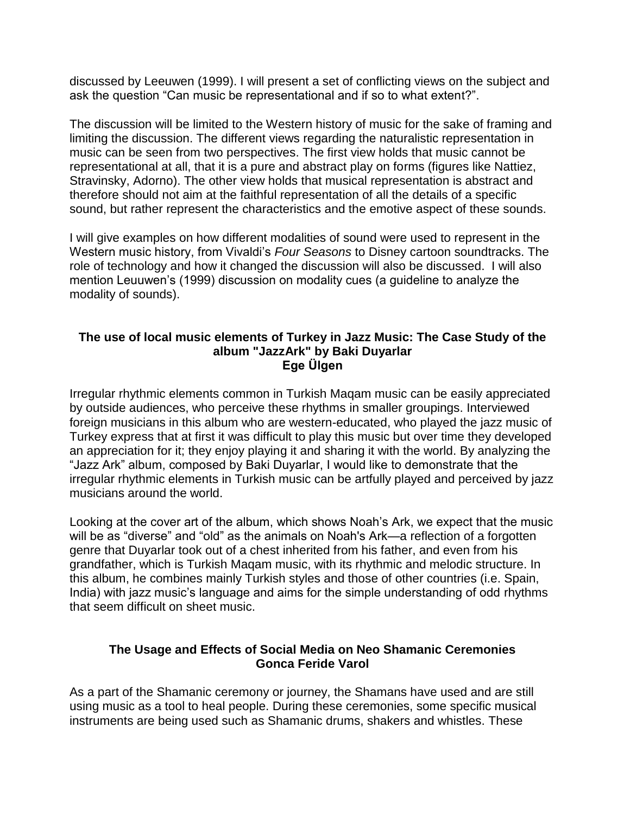discussed by Leeuwen (1999). I will present a set of conflicting views on the subject and ask the question "Can music be representational and if so to what extent?".

The discussion will be limited to the Western history of music for the sake of framing and limiting the discussion. The different views regarding the naturalistic representation in music can be seen from two perspectives. The first view holds that music cannot be representational at all, that it is a pure and abstract play on forms (figures like Nattiez, Stravinsky, Adorno). The other view holds that musical representation is abstract and therefore should not aim at the faithful representation of all the details of a specific sound, but rather represent the characteristics and the emotive aspect of these sounds.

I will give examples on how different modalities of sound were used to represent in the Western music history, from Vivaldi's *Four Seasons* to Disney cartoon soundtracks. The role of technology and how it changed the discussion will also be discussed. I will also mention Leuuwen's (1999) discussion on modality cues (a guideline to analyze the modality of sounds).

### **The use of local music elements of Turkey in Jazz Music: The Case Study of the album "JazzArk" by Baki Duyarlar Ege Ülgen**

Irregular rhythmic elements common in Turkish Maqam music can be easily appreciated by outside audiences, who perceive these rhythms in smaller groupings. Interviewed foreign musicians in this album who are western-educated, who played the jazz music of Turkey express that at first it was difficult to play this music but over time they developed an appreciation for it; they enjoy playing it and sharing it with the world. By analyzing the "Jazz Ark" album, composed by Baki Duyarlar, I would like to demonstrate that the irregular rhythmic elements in Turkish music can be artfully played and perceived by jazz musicians around the world.

Looking at the cover art of the album, which shows Noah's Ark, we expect that the music will be as "diverse" and "old" as the animals on Noah's Ark—a reflection of a forgotten genre that Duyarlar took out of a chest inherited from his father, and even from his grandfather, which is Turkish Maqam music, with its rhythmic and melodic structure. In this album, he combines mainly Turkish styles and those of other countries (i.e. Spain, India) with jazz music's language and aims for the simple understanding of odd rhythms that seem difficult on sheet music.

## **The Usage and Effects of Social Media on Neo Shamanic Ceremonies Gonca Feride Varol**

As a part of the Shamanic ceremony or journey, the Shamans have used and are still using music as a tool to heal people. During these ceremonies, some specific musical instruments are being used such as Shamanic drums, shakers and whistles. These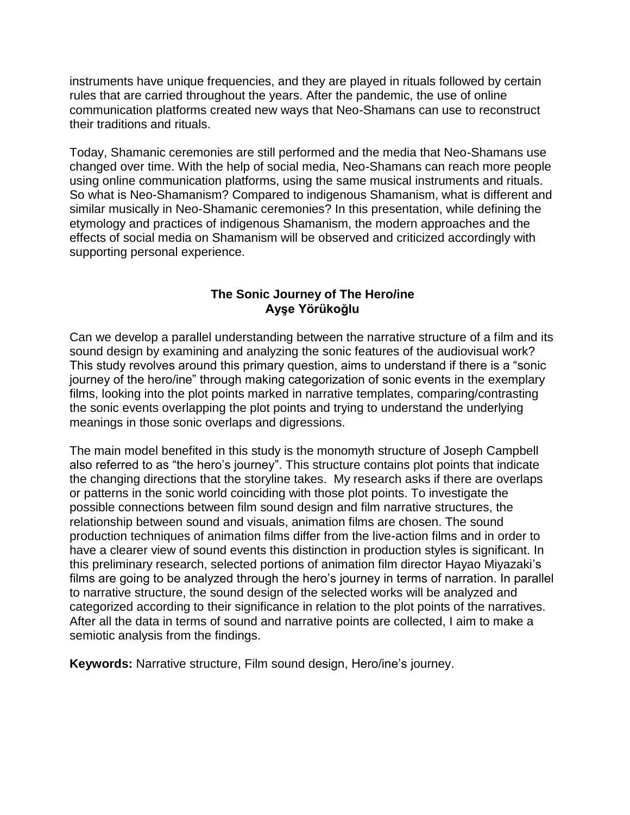instruments have unique frequencies, and they are played in rituals followed by certain rules that are carried throughout the years. After the pandemic, the use of online communication platforms created new ways that Neo-Shamans can use to reconstruct their traditions and rituals.

Today, Shamanic ceremonies are still performed and the media that Neo-Shamans use changed over time. With the help of social media, Neo-Shamans can reach more people using online communication platforms, using the same musical instruments and rituals. So what is Neo-Shamanism? Compared to indigenous Shamanism, what is different and similar musically in Neo-Shamanic ceremonies? In this presentation, while defining the etymology and practices of indigenous Shamanism, the modern approaches and the effects of social media on Shamanism will be observed and criticized accordingly with supporting personal experience.

# **The Sonic Journey of The Hero/ine Ayşe Yörükoğlu**

Can we develop a parallel understanding between the narrative structure of a film and its sound design by examining and analyzing the sonic features of the audiovisual work? This study revolves around this primary question, aims to understand if there is a "sonic journey of the hero/ine" through making categorization of sonic events in the exemplary films, looking into the plot points marked in narrative templates, comparing/contrasting the sonic events overlapping the plot points and trying to understand the underlying meanings in those sonic overlaps and digressions.

The main model benefited in this study is the monomyth structure of Joseph Campbell also referred to as "the hero's journey". This structure contains plot points that indicate the changing directions that the storyline takes. My research asks if there are overlaps or patterns in the sonic world coinciding with those plot points. To investigate the possible connections between film sound design and film narrative structures, the relationship between sound and visuals, animation films are chosen. The sound production techniques of animation films differ from the live-action films and in order to have a clearer view of sound events this distinction in production styles is significant. In this preliminary research, selected portions of animation film director Hayao Miyazaki's films are going to be analyzed through the hero's journey in terms of narration. In parallel to narrative structure, the sound design of the selected works will be analyzed and categorized according to their significance in relation to the plot points of the narratives. After all the data in terms of sound and narrative points are collected, I aim to make a semiotic analysis from the findings.

**Keywords:** Narrative structure, Film sound design, Hero/ine's journey.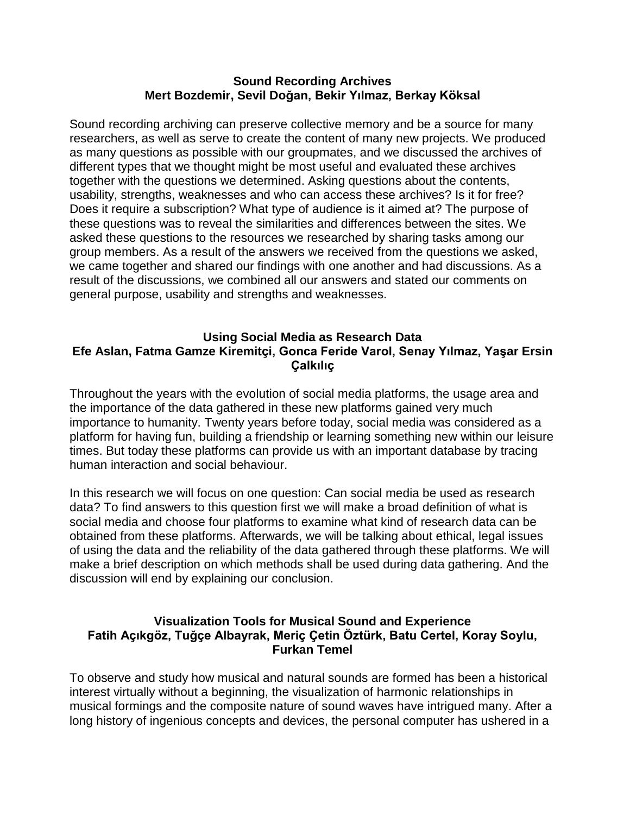#### **Sound Recording Archives Mert Bozdemir, Sevil Doğan, Bekir Yılmaz, Berkay Köksal**

Sound recording archiving can preserve collective memory and be a source for many researchers, as well as serve to create the content of many new projects. We produced as many questions as possible with our groupmates, and we discussed the archives of different types that we thought might be most useful and evaluated these archives together with the questions we determined. Asking questions about the contents, usability, strengths, weaknesses and who can access these archives? Is it for free? Does it require a subscription? What type of audience is it aimed at? The purpose of these questions was to reveal the similarities and differences between the sites. We asked these questions to the resources we researched by sharing tasks among our group members. As a result of the answers we received from the questions we asked, we came together and shared our findings with one another and had discussions. As a result of the discussions, we combined all our answers and stated our comments on general purpose, usability and strengths and weaknesses.

## **Using Social Media as Research Data Efe Aslan, Fatma Gamze Kiremitçi, Gonca Feride Varol, Senay Yılmaz, Yaşar Ersin Çalkılıç**

Throughout the years with the evolution of social media platforms, the usage area and the importance of the data gathered in these new platforms gained very much importance to humanity. Twenty years before today, social media was considered as a platform for having fun, building a friendship or learning something new within our leisure times. But today these platforms can provide us with an important database by tracing human interaction and social behaviour.

In this research we will focus on one question: Can social media be used as research data? To find answers to this question first we will make a broad definition of what is social media and choose four platforms to examine what kind of research data can be obtained from these platforms. Afterwards, we will be talking about ethical, legal issues of using the data and the reliability of the data gathered through these platforms. We will make a brief description on which methods shall be used during data gathering. And the discussion will end by explaining our conclusion.

## **Visualization Tools for Musical Sound and Experience Fatih Açıkgöz, Tuğçe Albayrak, Meriç Çetin Öztürk, Batu Certel, Koray Soylu, Furkan Temel**

To observe and study how musical and natural sounds are formed has been a historical interest virtually without a beginning, the visualization of harmonic relationships in musical formings and the composite nature of sound waves have intrigued many. After a long history of ingenious concepts and devices, the personal computer has ushered in a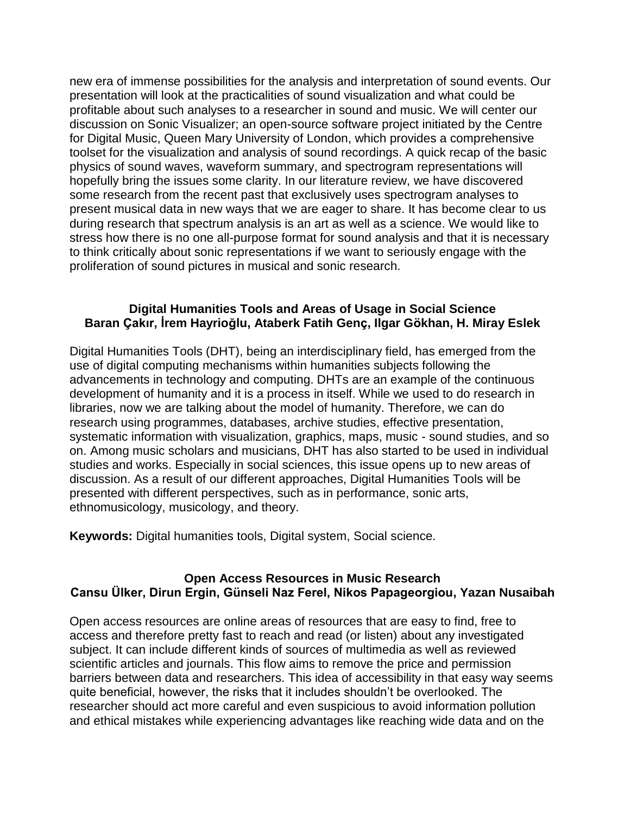new era of immense possibilities for the analysis and interpretation of sound events. Our presentation will look at the practicalities of sound visualization and what could be profitable about such analyses to a researcher in sound and music. We will center our discussion on Sonic Visualizer; an open-source software project initiated by the Centre for Digital Music, Queen Mary University of London, which provides a comprehensive toolset for the visualization and analysis of sound recordings. A quick recap of the basic physics of sound waves, waveform summary, and spectrogram representations will hopefully bring the issues some clarity. In our literature review, we have discovered some research from the recent past that exclusively uses spectrogram analyses to present musical data in new ways that we are eager to share. It has become clear to us during research that spectrum analysis is an art as well as a science. We would like to stress how there is no one all-purpose format for sound analysis and that it is necessary to think critically about sonic representations if we want to seriously engage with the proliferation of sound pictures in musical and sonic research.

### **Digital Humanities Tools and Areas of Usage in Social Science Baran Çakır, İrem Hayrioğlu, Ataberk Fatih Genç, Ilgar Gökhan, H. Miray Eslek**

Digital Humanities Tools (DHT), being an interdisciplinary field, has emerged from the use of digital computing mechanisms within humanities subjects following the advancements in technology and computing. DHTs are an example of the continuous development of humanity and it is a process in itself. While we used to do research in libraries, now we are talking about the model of humanity. Therefore, we can do research using programmes, databases, archive studies, effective presentation, systematic information with visualization, graphics, maps, music - sound studies, and so on. Among music scholars and musicians, DHT has also started to be used in individual studies and works. Especially in social sciences, this issue opens up to new areas of discussion. As a result of our different approaches, Digital Humanities Tools will be presented with different perspectives, such as in performance, sonic arts, ethnomusicology, musicology, and theory.

**Keywords:** Digital humanities tools, Digital system, Social science.

## **Open Access Resources in Music Research Cansu Ülker, Dirun Ergin, Günseli Naz Ferel, Nikos Papageorgiou, Yazan Nusaibah**

Open access resources are online areas of resources that are easy to find, free to access and therefore pretty fast to reach and read (or listen) about any investigated subject. It can include different kinds of sources of multimedia as well as reviewed scientific articles and journals. This flow aims to remove the price and permission barriers between data and researchers. This idea of accessibility in that easy way seems quite beneficial, however, the risks that it includes shouldn't be overlooked. The researcher should act more careful and even suspicious to avoid information pollution and ethical mistakes while experiencing advantages like reaching wide data and on the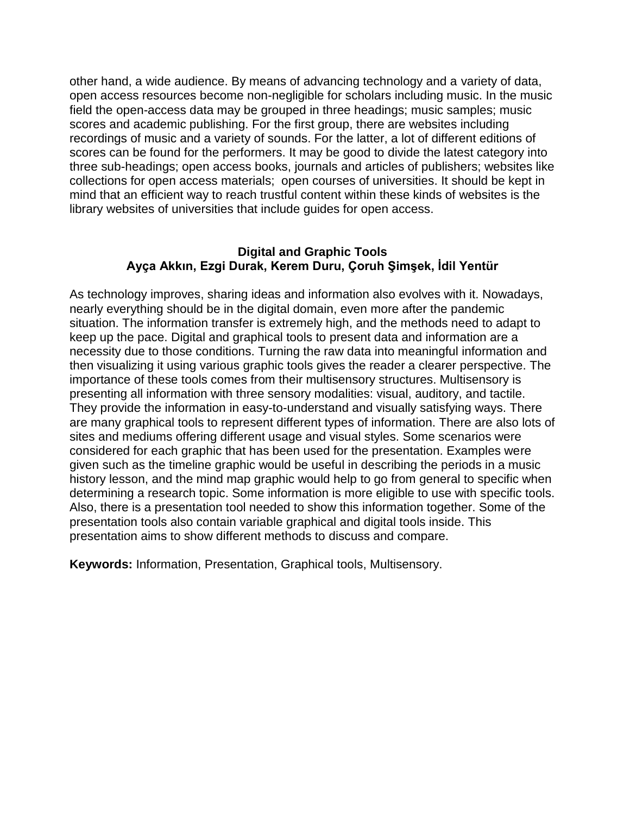other hand, a wide audience. By means of advancing technology and a variety of data, open access resources become non-negligible for scholars including music. In the music field the open-access data may be grouped in three headings; music samples; music scores and academic publishing. For the first group, there are websites including recordings of music and a variety of sounds. For the latter, a lot of different editions of scores can be found for the performers. It may be good to divide the latest category into three sub-headings; open access books, journals and articles of publishers; websites like collections for open access materials; open courses of universities. It should be kept in mind that an efficient way to reach trustful content within these kinds of websites is the library websites of universities that include guides for open access.

## **Digital and Graphic Tools Ayça Akkın, Ezgi Durak, Kerem Duru, Çoruh Şimşek, İdil Yentür**

As technology improves, sharing ideas and information also evolves with it. Nowadays, nearly everything should be in the digital domain, even more after the pandemic situation. The information transfer is extremely high, and the methods need to adapt to keep up the pace. Digital and graphical tools to present data and information are a necessity due to those conditions. Turning the raw data into meaningful information and then visualizing it using various graphic tools gives the reader a clearer perspective. The importance of these tools comes from their multisensory structures. Multisensory is presenting all information with three sensory modalities: visual, auditory, and tactile. They provide the information in easy-to-understand and visually satisfying ways. There are many graphical tools to represent different types of information. There are also lots of sites and mediums offering different usage and visual styles. Some scenarios were considered for each graphic that has been used for the presentation. Examples were given such as the timeline graphic would be useful in describing the periods in a music history lesson, and the mind map graphic would help to go from general to specific when determining a research topic. Some information is more eligible to use with specific tools. Also, there is a presentation tool needed to show this information together. Some of the presentation tools also contain variable graphical and digital tools inside. This presentation aims to show different methods to discuss and compare.

**Keywords:** Information, Presentation, Graphical tools, Multisensory.